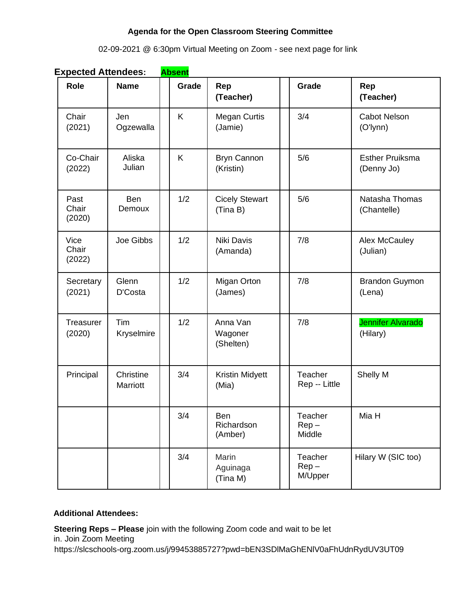# **Agenda for the Open Classroom Steering Committee**

# 02-09-2021 @ 6:30pm Virtual Meeting on Zoom - see next page for link

| Expected Attendees.     |                          | <u>ADSCIIL</u> |                                        |                               |                                      |
|-------------------------|--------------------------|----------------|----------------------------------------|-------------------------------|--------------------------------------|
| <b>Role</b>             | <b>Name</b>              | Grade          | Rep<br>(Teacher)                       | Grade                         | Rep<br>(Teacher)                     |
| Chair<br>(2021)         | Jen<br>Ogzewalla         | K              | <b>Megan Curtis</b><br>(Jamie)         | 3/4                           | <b>Cabot Nelson</b><br>(O'lynn)      |
| Co-Chair<br>(2022)      | Aliska<br>Julian         | K              | 5/6<br><b>Bryn Cannon</b><br>(Kristin) |                               | <b>Esther Pruiksma</b><br>(Denny Jo) |
| Past<br>Chair<br>(2020) | <b>Ben</b><br>Demoux     | 1/2            | <b>Cicely Stewart</b><br>(Tina B)      | 5/6                           | Natasha Thomas<br>(Chantelle)        |
| Vice<br>Chair<br>(2022) | Joe Gibbs                | 1/2            | Niki Davis<br>(Amanda)                 | 7/8                           | Alex McCauley<br>(Julian)            |
| Secretary<br>(2021)     | Glenn<br>D'Costa         | 1/2            | Migan Orton<br>(James)                 | 7/8                           | <b>Brandon Guymon</b><br>(Lena)      |
| Treasurer<br>(2020)     | Tim<br><b>Kryselmire</b> | 1/2            | Anna Van<br>Wagoner<br>(Shelten)       | 7/8                           | <b>Jennifer Alvarado</b><br>(Hilary) |
| Principal               | Christine<br>Marriott    | 3/4            | Kristin Midyett<br>(Mia)               | Teacher<br>Rep -- Little      | Shelly M                             |
|                         |                          | 3/4            | <b>Ben</b><br>Richardson<br>(Amber)    | Teacher<br>$Rep -$<br>Middle  | Mia H                                |
|                         |                          | 3/4            | Marin<br>Aguinaga<br>(Tina M)          | Teacher<br>$Rep -$<br>M/Upper | Hilary W (SIC too)                   |

**Expected Attendees: Absent**

# **Additional Attendees:**

**Steering Reps – Please** join with the following Zoom code and wait to be let in. Join Zoom Meeting

https://slcschools-org.zoom.us/j/99453885727?pwd=bEN3SDlMaGhENlV0aFhUdnRydUV3UT09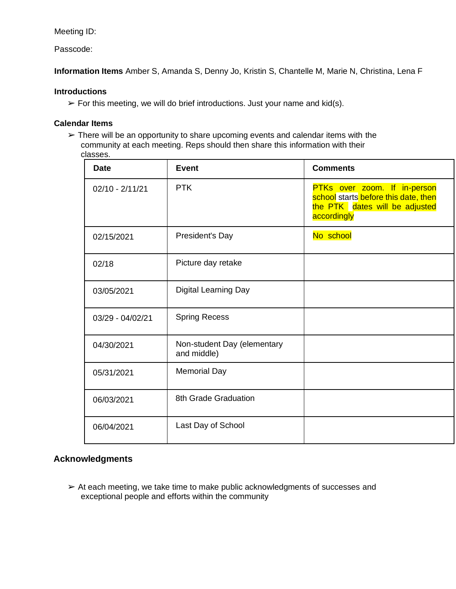## Meeting ID:

Passcode:

**Information Items** Amber S, Amanda S, Denny Jo, Kristin S, Chantelle M, Marie N, Christina, Lena F

#### **Introductions**

 $\triangleright$  For this meeting, we will do brief introductions. Just your name and kid(s).

### **Calendar Items**

 $\triangleright$  There will be an opportunity to share upcoming events and calendar items with the community at each meeting. Reps should then share this information with their classes.

| <b>Date</b>       | Event                                      | <b>Comments</b>                                                                                                       |
|-------------------|--------------------------------------------|-----------------------------------------------------------------------------------------------------------------------|
| $02/10 - 2/11/21$ | <b>PTK</b>                                 | PTKs over zoom. If in-person<br>school starts before this date, then<br>the PTK dates will be adjusted<br>accordingly |
| 02/15/2021        | President's Day                            | No school                                                                                                             |
| 02/18             | Picture day retake                         |                                                                                                                       |
| 03/05/2021        | Digital Learning Day                       |                                                                                                                       |
| 03/29 - 04/02/21  | <b>Spring Recess</b>                       |                                                                                                                       |
| 04/30/2021        | Non-student Day (elementary<br>and middle) |                                                                                                                       |
| 05/31/2021        | <b>Memorial Day</b>                        |                                                                                                                       |
| 06/03/2021        | 8th Grade Graduation                       |                                                                                                                       |
| 06/04/2021        | Last Day of School                         |                                                                                                                       |

# **Acknowledgments**

➢ At each meeting, we take time to make public acknowledgments of successes and exceptional people and efforts within the community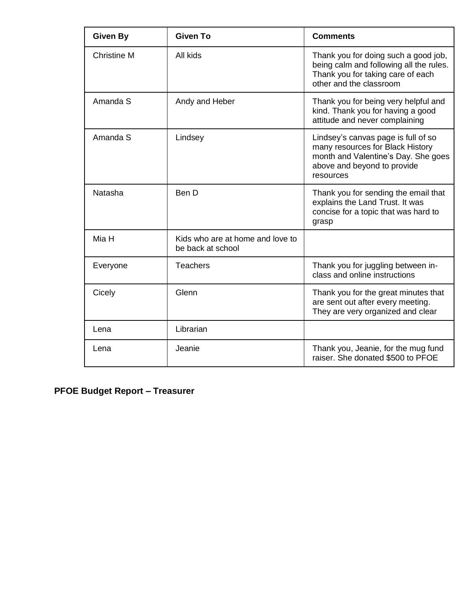| <b>Given By</b>    | <b>Given To</b>                                       | <b>Comments</b>                                                                                                                                            |
|--------------------|-------------------------------------------------------|------------------------------------------------------------------------------------------------------------------------------------------------------------|
| <b>Christine M</b> | All kids                                              | Thank you for doing such a good job,<br>being calm and following all the rules.<br>Thank you for taking care of each<br>other and the classroom            |
| Amanda S           | Andy and Heber                                        | Thank you for being very helpful and<br>kind. Thank you for having a good<br>attitude and never complaining                                                |
| Amanda S           | Lindsey                                               | Lindsey's canvas page is full of so<br>many resources for Black History<br>month and Valentine's Day. She goes<br>above and beyond to provide<br>resources |
| Natasha            | Ben D                                                 | Thank you for sending the email that<br>explains the Land Trust. It was<br>concise for a topic that was hard to<br>grasp                                   |
| Mia H              | Kids who are at home and love to<br>be back at school |                                                                                                                                                            |
| Everyone           | <b>Teachers</b>                                       | Thank you for juggling between in-<br>class and online instructions                                                                                        |
| Cicely             | Glenn                                                 | Thank you for the great minutes that<br>are sent out after every meeting.<br>They are very organized and clear                                             |
| Lena               | Librarian                                             |                                                                                                                                                            |
| Lena               | Jeanie                                                | Thank you, Jeanie, for the mug fund<br>raiser. She donated \$500 to PFOE                                                                                   |

**PFOE Budget Report – Treasurer**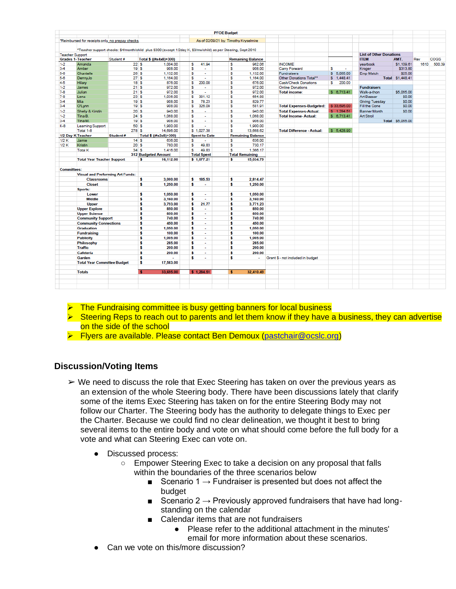|                        |                                         |                                                  |                                                                                                                |                               | <b>PFOE Budget</b>                    |                          |                                     |             |                                |                  |      |             |
|------------------------|-----------------------------------------|--------------------------------------------------|----------------------------------------------------------------------------------------------------------------|-------------------------------|---------------------------------------|--------------------------|-------------------------------------|-------------|--------------------------------|------------------|------|-------------|
|                        |                                         | "Reimbursed for receipts only, no prepay checks. |                                                                                                                |                               | As of 02/09/21 by: Timothy Kryselmire |                          |                                     |             |                                |                  |      |             |
|                        |                                         |                                                  |                                                                                                                |                               |                                       |                          |                                     |             |                                |                  |      |             |
|                        |                                         |                                                  | "Teacher support checks: \$4/month/child plus \$300 (except 1/2day K, \$3/mo/child) as per Steering, Sept 2010 |                               |                                       |                          |                                     |             | <b>List of Other Donations</b> |                  |      |             |
| <b>Teacher Support</b> | <b>Grades 1- Teacher</b>                | Student#                                         | Total \$ ((#x4x8)+300)                                                                                         |                               |                                       | <b>Remaining Balance</b> |                                     |             | <b>ITEM</b>                    | AMT.             | Rev  | <b>COGS</b> |
| $1-2$                  | Amanda                                  | 22S                                              | 1.004.00                                                                                                       | 41.94<br>s                    | s                                     | 962.06                   | <b>INCOME</b>                       |             | vearbook                       | \$1,109.61       | 1610 | 500.39      |
| $3 - 4$                | Amber                                   |                                                  | 19S<br>908.00                                                                                                  | s<br>$\sim$                   | s                                     | 908.00                   | Carry Forward                       | s<br>$\sim$ | Kroger                         | \$313.80         |      |             |
| 5-6                    | Chantelle                               |                                                  | 26S<br>1.132.00                                                                                                | s                             | s                                     | 1.132.00                 | <b>Fundraisers</b>                  | \$ 5.065.00 | Emp Match                      | \$25.00          |      |             |
| $5 - 6$                | DennyJo                                 | 27S                                              | 1,164.00                                                                                                       | s<br>÷                        | s                                     | 1.164.00                 | Other Donations Total <sup>22</sup> | \$1,448,41  |                                | Total \$1,448.41 |      |             |
| $4 - 5$                | Hilary                                  |                                                  | 18S<br>876.00                                                                                                  | s<br>200.00                   | s                                     | 676.00                   | Cash/Check Donations                | s<br>200.00 |                                |                  |      |             |
| $1-2$                  | James                                   | 21S                                              | 972.00                                                                                                         | s<br>$\sim$                   | s                                     | 972.00                   | <b>Online Donations</b>             |             | <b>Fundraisers</b>             |                  |      |             |
| $7 - 8$                | Julian                                  | 21S                                              | 972.00                                                                                                         | s<br>$\overline{a}$           | s                                     | 972.00                   | <b>Total income:</b>                | \$6,713.41  | Walk-a-thon                    | \$5,065.00       |      |             |
| $7-8$                  | Lena                                    | 23S                                              | 1.036.00                                                                                                       | 381.12<br>s                   | s                                     | 654.88                   |                                     |             | Art Bazaar                     | \$0.00           |      |             |
| $3 - 4$                | <b>Mia</b>                              |                                                  | 19S<br>908.00                                                                                                  | 78.23<br>s                    | s                                     | 829.77                   |                                     |             | <b>Giving Tuesday</b>          | \$0.00           |      |             |
| $3-4$                  | O'Lynn                                  |                                                  | 19S<br>908.00                                                                                                  | 326.09<br>s                   | s                                     | 581.91                   | <b>Total Expenses-Budgeted:</b>     | \$33,695.00 | Fill the Cone                  | \$0.00           |      |             |
| $1 - 2$                | Shelly & Kirstin                        | 20S                                              | 940.00                                                                                                         | s                             | s                                     | 940.00                   | <b>Total Expenses-Actual:</b>       | \$1,284.51  | <b>Banner Month</b>            | \$0.00           |      |             |
| $1 - 2$                | Tina B.                                 | 24S                                              | 1.068.00                                                                                                       | s                             | s                                     | 1.068.00                 | <b>Total Income-Actual:</b>         | \$6,713.41  | <b>Art Stroll</b>              |                  |      |             |
| $3-4$                  | Tina M.                                 |                                                  | 19S<br>908.00                                                                                                  | s<br>$\sim$                   | s                                     | 908.00                   |                                     |             |                                | Total \$5,065.00 |      |             |
| $K-8$                  | <b>Learning Support</b>                 | 50 S                                             | 1,900.00                                                                                                       | s                             | s                                     | 1,900.00                 |                                     |             |                                |                  |      |             |
|                        | Total 1-8                               | 278 S                                            | 14,696.00                                                                                                      | \$1,027.38                    | s                                     | 13,668.62                | <b>Total Difference - Actual:</b>   | \$ 5,428.90 |                                |                  |      |             |
| 1/2 Day K Teacher      |                                         | Student#                                         | Total \$ ((#x3x8)+300)                                                                                         | <b>Spent to Date</b>          |                                       | <b>Remaining Balance</b> |                                     |             |                                |                  |      |             |
| 1/2K                   | Jamie                                   |                                                  | 14S<br>636.00                                                                                                  | s<br>÷.                       | s                                     | 636.00                   |                                     |             |                                |                  |      |             |
| 1/2K                   | Kristin                                 | 20S                                              | 780.00                                                                                                         | 49.83<br>s                    | s                                     | 730.17                   |                                     |             |                                |                  |      |             |
|                        | <b>Total K</b>                          | 34S                                              | 1,416.00                                                                                                       | 49.83<br>s                    | s                                     | 1.366.17                 |                                     |             |                                |                  |      |             |
|                        |                                         |                                                  | 312 Budgeted Amount                                                                                            | <b>Total Spent</b>            |                                       | <b>Total Remaining</b>   |                                     |             |                                |                  |      |             |
|                        | <b>Total Year Teacher Support</b>       |                                                  | 16,112.00<br>\$                                                                                                | \$1,077.21                    | \$                                    | 15,034.79                |                                     |             |                                |                  |      |             |
| <b>Committees:</b>     |                                         |                                                  |                                                                                                                |                               |                                       |                          |                                     |             |                                |                  |      |             |
|                        | <b>Visual and Preforming Art Funds:</b> |                                                  |                                                                                                                |                               |                                       |                          |                                     |             |                                |                  |      |             |
|                        | <b>Classrooms</b>                       |                                                  | s<br>3,000.00                                                                                                  | 185.53<br>\$                  | \$                                    | 2.814.47                 |                                     |             |                                |                  |      |             |
|                        | <b>Closet</b>                           |                                                  | \$<br>1,250.00                                                                                                 | \$                            | \$                                    | 1,250.00                 |                                     |             |                                |                  |      |             |
|                        | Sports:                                 |                                                  |                                                                                                                |                               |                                       |                          |                                     |             |                                |                  |      |             |
|                        | Lower                                   |                                                  | \$<br>1,050.00                                                                                                 | \$<br>$\overline{a}$          | \$                                    | 1,050.00                 |                                     |             |                                |                  |      |             |
|                        | <b>Middle</b>                           |                                                  | s<br>3.160.00                                                                                                  | s<br>$\sim$                   | s                                     | 3.160.00                 |                                     |             |                                |                  |      |             |
|                        | <b>Upper</b>                            |                                                  | s<br>3,793.00                                                                                                  | Ŝ<br>21.77                    | s                                     | 3,771.23                 |                                     |             |                                |                  |      |             |
|                        | <b>Upper Explore</b>                    |                                                  | \$<br>850.00                                                                                                   | \$<br>$\overline{a}$          | \$                                    | 850.00                   |                                     |             |                                |                  |      |             |
|                        | <b>Upper Science</b>                    |                                                  | s<br>850.00                                                                                                    | s<br>$\sim$                   | s                                     | 850.00                   |                                     |             |                                |                  |      |             |
|                        | <b>Community Support</b>                |                                                  | s<br>740.00                                                                                                    | s<br>٠                        | ś                                     | 740.00                   |                                     |             |                                |                  |      |             |
|                        | <b>Community Connections</b>            |                                                  | \$<br>450.00                                                                                                   | s<br>÷                        | \$                                    | 450.00                   |                                     |             |                                |                  |      |             |
|                        | <b>Graduation</b>                       |                                                  | s<br>1,050.00                                                                                                  | s<br>÷.                       | s                                     | 1,050.00                 |                                     |             |                                |                  |      |             |
|                        | <b>Fundraising</b>                      |                                                  | s<br>100.00                                                                                                    | s<br>$\overline{\phantom{a}}$ | \$                                    | 100.00                   |                                     |             |                                |                  |      |             |
|                        | <b>Publicity</b>                        |                                                  | s<br>1,005.00                                                                                                  | s<br>×                        | s                                     | 1,005.00                 |                                     |             |                                |                  |      |             |
|                        | Philosophy                              |                                                  | \$<br>285.00                                                                                                   | s<br>$\ddot{\phantom{0}}$     | \$                                    | 285.00                   |                                     |             |                                |                  |      |             |
|                        | <b>Traffic</b>                          |                                                  | \$<br>200.00                                                                                                   | s<br>$\overline{a}$           | \$                                    | 200.00                   |                                     |             |                                |                  |      |             |
|                        | Cafeteria                               |                                                  | \$<br>200.00                                                                                                   | s<br>$\sim$                   | \$                                    | 200.00                   |                                     |             |                                |                  |      |             |
|                        | Garden                                  |                                                  | \$                                                                                                             | s<br>×                        | s                                     | $\sim$                   | Grant \$ - not included in budget   |             |                                |                  |      |             |
|                        | <b>Total Year Committee Budget</b>      |                                                  | \$<br>17,583.00                                                                                                |                               |                                       |                          |                                     |             |                                |                  |      |             |
|                        |                                         |                                                  |                                                                                                                |                               |                                       |                          |                                     |             |                                |                  |      |             |
|                        | <b>Totals</b>                           |                                                  | 33.695.00<br>$\overline{\mathbf{s}}$                                                                           | \$1,284.51                    | s                                     | 32.410.49                |                                     |             |                                |                  |      |             |
|                        |                                         |                                                  |                                                                                                                |                               |                                       |                          |                                     |             |                                |                  |      |             |
|                        |                                         |                                                  |                                                                                                                |                               |                                       |                          |                                     |             |                                |                  |      |             |
|                        |                                         |                                                  |                                                                                                                |                               |                                       |                          |                                     |             |                                |                  |      |             |

- ➢ The Fundraising committee is busy getting banners for local business
- ➢ Steering Reps to reach out to parents and let them know if they have a business, they can advertise on the side of the school
- ➢ Flyers are available. Please contact Ben Demoux [\(pastchair@ocslc.org\)](mailto:pastchair@ocslc.org)

# **Discussion/Voting Items**

- $\triangleright$  We need to discuss the role that Exec Steering has taken on over the previous years as an extension of the whole Steering body. There have been discussions lately that clarify some of the items Exec Steering has taken on for the entire Steering Body may not follow our Charter. The Steering body has the authority to delegate things to Exec per the Charter. Because we could find no clear delineation, we thought it best to bring several items to the entire body and vote on what should come before the full body for a vote and what can Steering Exec can vote on.
	- Discussed process:
		- Empower Steering Exec to take a decision on any proposal that falls within the boundaries of the three scenarios below
			- Scenario 1  $\rightarrow$  Fundraiser is presented but does not affect the budget
			- Scenario 2  $\rightarrow$  Previously approved fundraisers that have had longstanding on the calendar
			- Calendar items that are not fundraisers
				- Please refer to the additional attachment in the minutes' email for more information about these scenarios.
	- Can we vote on this/more discussion?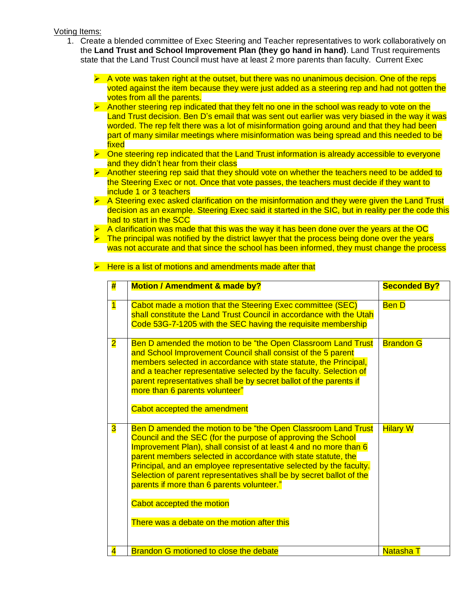#### Voting Items:

- 1. Create a blended committee of Exec Steering and Teacher representatives to work collaboratively on the **Land Trust and School Improvement Plan (they go hand in hand)**. Land Trust requirements state that the Land Trust Council must have at least 2 more parents than faculty. Current Exec
	- $\triangleright$  A vote was taken right at the outset, but there was no unanimous decision. One of the reps voted against the item because they were just added as a steering rep and had not gotten the votes from all the parents.
	- ➢ Another steering rep indicated that they felt no one in the school was ready to vote on the Land Trust decision. Ben D's email that was sent out earlier was very biased in the way it was worded. The rep felt there was a lot of misinformation going around and that they had been part of many similar meetings where misinformation was being spread and this needed to be fixed
	- $\triangleright$  One steering rep indicated that the Land Trust information is already accessible to everyone and they didn't hear from their class
	- $\triangleright$  Another steering rep said that they should vote on whether the teachers need to be added to the Steering Exec or not. Once that vote passes, the teachers must decide if they want to include 1 or 3 teachers
	- ➢ A Steering exec asked clarification on the misinformation and they were given the Land Trust decision as an example. Steering Exec said it started in the SIC, but in reality per the code this had to start in the SCC
	- ➢ A clarification was made that this was the way it has been done over the years at the OC
	- $\triangleright$  The principal was notified by the district lawyer that the process being done over the years was not accurate and that since the school has been informed, they must change the process

| #                       | <b>Motion / Amendment &amp; made by?</b>                                                                                                                                                                                                                                                                                                                                                                                                                                                                                                    | <b>Seconded By?</b> |
|-------------------------|---------------------------------------------------------------------------------------------------------------------------------------------------------------------------------------------------------------------------------------------------------------------------------------------------------------------------------------------------------------------------------------------------------------------------------------------------------------------------------------------------------------------------------------------|---------------------|
| $\overline{\mathbf{1}}$ | Cabot made a motion that the Steering Exec committee (SEC)<br>shall constitute the Land Trust Council in accordance with the Utah<br>Code 53G-7-1205 with the SEC having the requisite membership                                                                                                                                                                                                                                                                                                                                           | <b>Ben D</b>        |
| $\overline{\mathbf{2}}$ | Ben D amended the motion to be "the Open Classroom Land Trust<br>and School Improvement Council shall consist of the 5 parent<br>members selected in accordance with state statute, the Principal,<br>and a teacher representative selected by the faculty. Selection of<br>parent representatives shall be by secret ballot of the parents if<br>more than 6 parents volunteer"<br>Cabot accepted the amendment                                                                                                                            | <b>Brandon G</b>    |
| 3                       | Ben D amended the motion to be "the Open Classroom Land Trust<br>Council and the SEC (for the purpose of approving the School<br>Improvement Plan), shall consist of at least 4 and no more than 6<br>parent members selected in accordance with state statute, the<br>Principal, and an employee representative selected by the faculty.<br>Selection of parent representatives shall be by secret ballot of the<br>parents if more than 6 parents volunteer."<br>Cabot accepted the motion<br>There was a debate on the motion after this | <b>Hilary W</b>     |
| $\overline{\mathbf{4}}$ | Brandon G motioned to close the debate                                                                                                                                                                                                                                                                                                                                                                                                                                                                                                      | <b>Natasha T</b>    |

 $\triangleright$  Here is a list of motions and amendments made after that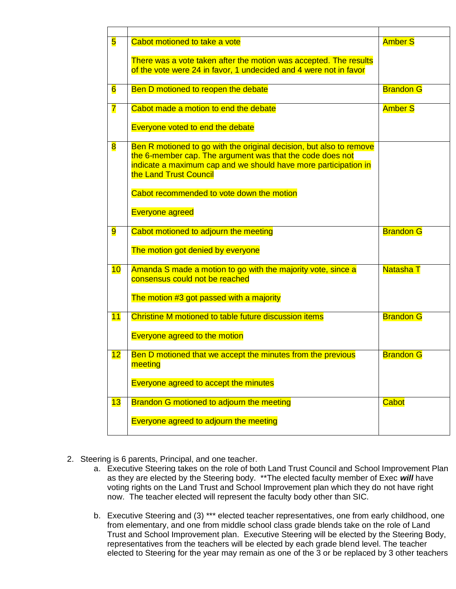| 5                       | Cabot motioned to take a vote                                                                  | <b>Amber S</b>   |
|-------------------------|------------------------------------------------------------------------------------------------|------------------|
|                         | There was a vote taken after the motion was accepted. The results                              |                  |
|                         | of the vote were 24 in favor, 1 undecided and 4 were not in favor                              |                  |
| $6\overline{6}$         | Ben D motioned to reopen the debate                                                            | <b>Brandon G</b> |
| $\overline{\mathbf{7}}$ | Cabot made a motion to end the debate                                                          | <b>Amber S</b>   |
|                         | Everyone voted to end the debate                                                               |                  |
| $\overline{\mathbf{8}}$ | Ben R motioned to go with the original decision, but also to remove                            |                  |
|                         | the 6-member cap. The argument was that the code does not                                      |                  |
|                         | indicate a maximum cap and we should have more participation in<br>the Land Trust Council      |                  |
|                         |                                                                                                |                  |
|                         | Cabot recommended to vote down the motion                                                      |                  |
|                         | <b>Everyone agreed</b>                                                                         |                  |
| $\overline{9}$          | Cabot motioned to adjourn the meeting                                                          | <b>Brandon G</b> |
|                         | The motion got denied by everyone                                                              |                  |
| 10                      | Amanda S made a motion to go with the majority vote, since a<br>consensus could not be reached | <b>Natasha T</b> |
|                         |                                                                                                |                  |
|                         | The motion #3 got passed with a majority                                                       |                  |
| 11                      | Christine M motioned to table future discussion items                                          | <b>Brandon G</b> |
|                         | <b>Everyone agreed to the motion</b>                                                           |                  |
| 12                      | Ben D motioned that we accept the minutes from the previous                                    | <b>Brandon G</b> |
|                         | meeting                                                                                        |                  |
|                         | Everyone agreed to accept the minutes                                                          |                  |
|                         |                                                                                                |                  |
| 13                      | Brandon G motioned to adjourn the meeting                                                      | Cabot            |
|                         | Everyone agreed to adjourn the meeting                                                         |                  |
|                         |                                                                                                |                  |

- 2. Steering is 6 parents, Principal, and one teacher.
	- a. Executive Steering takes on the role of both Land Trust Council and School Improvement Plan as they are elected by the Steering body. \*\*The elected faculty member of Exec *will* have voting rights on the Land Trust and School Improvement plan which they do not have right now. The teacher elected will represent the faculty body other than SIC.
	- b. Executive Steering and (3) \*\*\* elected teacher representatives, one from early childhood, one from elementary, and one from middle school class grade blends take on the role of Land Trust and School Improvement plan. Executive Steering will be elected by the Steering Body, representatives from the teachers will be elected by each grade blend level. The teacher elected to Steering for the year may remain as one of the 3 or be replaced by 3 other teachers